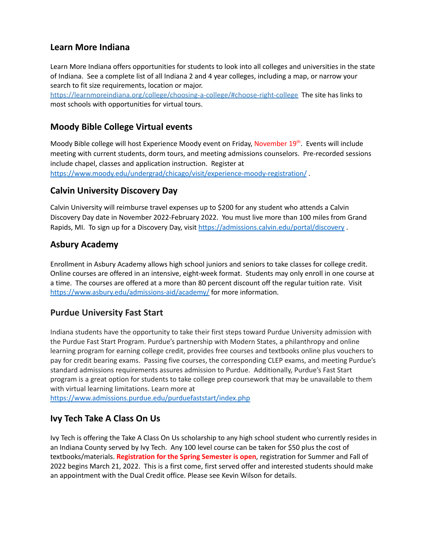#### **Learn More Indiana**

Learn More Indiana offers opportunities for students to look into all colleges and universities in the state of Indiana. See a complete list of all Indiana 2 and 4 year colleges, including a map, or narrow your search to fit size requirements, location or major.

<https://learnmoreindiana.org/college/choosing-a-college/#choose-right-college> The site has links to most schools with opportunities for virtual tours.

## **Moody Bible College Virtual events**

Moody Bible college will host Experience Moody event on Friday, November 19<sup>th</sup>. Events will include meeting with current students, dorm tours, and meeting admissions counselors. Pre-recorded sessions include chapel, classes and application instruction. Register at <https://www.moody.edu/undergrad/chicago/visit/experience-moody-registration/> .

## **Calvin University Discovery Day**

Calvin University will reimburse travel expenses up to \$200 for any student who attends a Calvin Discovery Day date in November 2022-February 2022. You must live more than 100 miles from Grand Rapids, MI. To sign up for a Discovery Day, visit <https://admissions.calvin.edu/portal/discovery> .

## **Asbury Academy**

Enrollment in Asbury Academy allows high school juniors and seniors to take classes for college credit. Online courses are offered in an intensive, eight-week format. Students may only enroll in one course at a time. The courses are offered at a more than 80 percent discount off the regular tuition rate. Visit <https://www.asbury.edu/admissions-aid/academy/> for more information.

# **Purdue University Fast Start**

Indiana students have the opportunity to take their first steps toward Purdue University admission with the Purdue Fast Start Program. Purdue's partnership with Modern States, a philanthropy and online learning program for earning college credit, provides free courses and textbooks online plus vouchers to pay for credit bearing exams. Passing five courses, the corresponding CLEP exams, and meeting Purdue's standard admissions requirements assures admission to Purdue. Additionally, Purdue's Fast Start program is a great option for students to take college prep coursework that may be unavailable to them with virtual learning limitations. Learn more at

<https://www.admissions.purdue.edu/purduefaststart/index.php>

#### **Ivy Tech Take A Class On Us**

Ivy Tech is offering the Take A Class On Us scholarship to any high school student who currently resides in an Indiana County served by Ivy Tech. Any 100 level course can be taken for \$50 plus the cost of textbooks/materials. **Registration for the Spring Semester is open**, registration for Summer and Fall of 2022 begins March 21, 2022. This is a first come, first served offer and interested students should make an appointment with the Dual Credit office. Please see Kevin Wilson for details.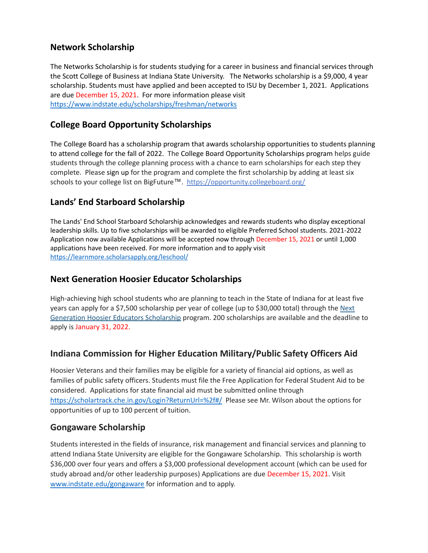## **Network Scholarship**

The Networks Scholarship is for students studying for a career in business and financial services through the Scott College of Business at Indiana State University. The Networks scholarship is a \$9,000, 4 year scholarship. Students must have applied and been accepted to ISU by December 1, 2021. Applications are due December 15, 2021. For more information please visit <https://www.indstate.edu/scholarships/freshman/networks>

## **College Board Opportunity Scholarships**

The College Board has a scholarship program that awards scholarship opportunities to students planning to attend college for the fall of 2022. The College Board Opportunity Scholarships program helps guide students through the college planning process with a chance to earn scholarships for each step they complete. Please [sign](https://link.zixcentral.com/u/1d84fe9c/rvreEuXF6hGEjZXUhnsoMg?u=https%3A%2F%2Fclick.e.collegeboard.org%2F%3Fqs%3D58e805d0d19de2efd55a925b92b6ebf4ad0079ceabd60f6ad6c270ee2b2dc3c9aa265be4ea23b38def9e50d874ee3b7d227ed8b6e09dce45) up for the program and complete the first scholarship by adding at least six schools to your college list on BigFuture™. [https://opportunity.collegeboard.org/](https://opportunity.collegeboard.org/about/build?SFMC_cid=EM337463-&rid=47087716)

## **Lands' End Starboard Scholarship**

The Lands' End School Starboard Scholarship acknowledges and rewards students who display exceptional leadership skills. Up to five scholarships will be awarded to eligible Preferred School students. 2021-2022 Application now available Applications will be accepted now through December 15, 2021 or until 1,000 applications have been received. For more information and to apply visit <https://learnmore.scholarsapply.org/leschool/>

#### **Next Generation Hoosier Educator Scholarships**

High-achieving high school students who are planning to teach in the State of Indiana for at least five years can apply for a \$7,500 scholarship per year of college (up to \$30,000 total) through the [Next](https://lnks.gd/l/eyJhbGciOiJIUzI1NiJ9.eyJidWxsZXRpbl9saW5rX2lkIjoxMDAsInVyaSI6ImJwMjpjbGljayIsImJ1bGxldGluX2lkIjoiMjAyMTEwMDUuNDY5MTI4NzEiLCJ1cmwiOiJodHRwczovL3d3dy5pbi5nb3YvY2hlLzQ2ODAuaHRtIn0.wmLf5vwZneKJQk971u20Mi6xtHYA-P8Z2mpZ_0zE8kk/s/684269653/br/113382717341-l) Generation Hoosier Educators [Scholarship](https://lnks.gd/l/eyJhbGciOiJIUzI1NiJ9.eyJidWxsZXRpbl9saW5rX2lkIjoxMDAsInVyaSI6ImJwMjpjbGljayIsImJ1bGxldGluX2lkIjoiMjAyMTEwMDUuNDY5MTI4NzEiLCJ1cmwiOiJodHRwczovL3d3dy5pbi5nb3YvY2hlLzQ2ODAuaHRtIn0.wmLf5vwZneKJQk971u20Mi6xtHYA-P8Z2mpZ_0zE8kk/s/684269653/br/113382717341-l) program. 200 scholarships are available and the deadline to apply is January 31, 2022.

# **Indiana Commission for Higher Education Military/Public Safety Officers Aid**

Hoosier Veterans and their families may be eligible for a variety of financial aid options, as well as families of public safety officers. Students must file the Free Application for Federal Student Aid to be considered. Applications for state financial aid must be submitted online through <https://scholartrack.che.in.gov/Login?ReturnUrl=%2f#/> Please see Mr. Wilson about the options for opportunities of up to 100 percent of tuition.

#### **Gongaware Scholarship**

Students interested in the fields of insurance, risk management and financial services and planning to attend Indiana State University are eligible for the Gongaware Scholarship. This scholarship is worth \$36,000 over four years and offers a \$3,000 professional development account (which can be used for study abroad and/or other leadership purposes) Applications are due December 15, 2021. Visit [www.indstate.edu/gongaware](http://www.indstate.edu/gongaware) for information and to apply.